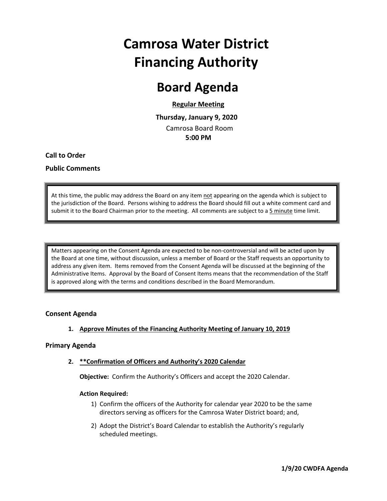# **Camrosa Water District Financing Authority**

### **Board Agenda**

#### **Regular Meeting**

 **Thursday, January 9, 2020** Camrosa Board Room  **5:00 PM**

**Call to Order**

#### **Public Comments**

At this time, the public may address the Board on any item not appearing on the agenda which is subject to the jurisdiction of the Board. Persons wishing to address the Board should fill out a white comment card and submit it to the Board Chairman prior to the meeting. All comments are subject to a 5 minute time limit.

Matters appearing on the Consent Agenda are expected to be non‐controversial and will be acted upon by the Board at one time, without discussion, unless a member of Board or the Staff requests an opportunity to address any given item. Items removed from the Consent Agenda will be discussed at the beginning of the Administrative Items. Approval by the Board of Consent Items means that the recommendation of the Staff is approved along with the terms and conditions described in the Board Memorandum.

#### **Consent Agenda**

#### **1. Approve Minutes of the Financing Authority Meeting of January 10, 2019**

#### **Primary Agenda**

**2. \*\*Confirmation of Officers and Authority's 2020 Calendar**

**Objective:** Confirm the Authority's Officers and accept the 2020 Calendar.

#### **Action Required:**

- 1) Confirm the officers of the Authority for calendar year 2020 to be the same directors serving as officers for the Camrosa Water District board; and,
- 2) Adopt the District's Board Calendar to establish the Authority's regularly scheduled meetings.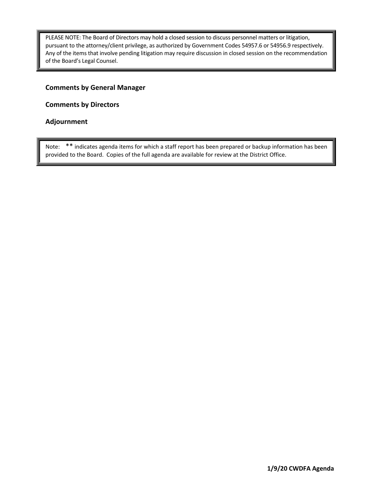PLEASE NOTE: The Board of Directors may hold a closed session to discuss personnel matters or litigation, pursuant to the attorney/client privilege, as authorized by Government Codes 54957.6 or 54956.9 respectively. Any of the items that involve pending litigation may require discussion in closed session on the recommendation of the Board's Legal Counsel.

#### **Comments by General Manager**

**Comments by Directors**

#### **Adjournment**

Note: \*\* indicates agenda items for which a staff report has been prepared or backup information has been provided to the Board. Copies of the full agenda are available for review at the District Office.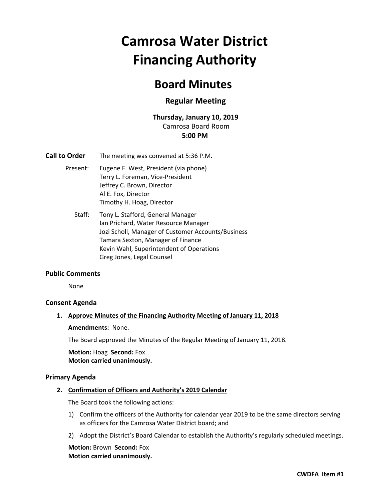# **Camrosa Water District Financing Authority**

### **Board Minutes**

#### **Regular Meeting**

#### **Thursday, January 10, 2019** Camrosa Board Room **5:00 PM**

- **Call to Order** The meeting was convened at 5:36 P.M.
	- Present: Eugene F. West, President (via phone) Terry L. Foreman, Vice‐President Jeffrey C. Brown, Director Al E. Fox, Director Timothy H. Hoag, Director
		- Staff: Tony L. Stafford, General Manager Ian Prichard, Water Resource Manager Jozi Scholl, Manager of Customer Accounts/Business Tamara Sexton, Manager of Finance Kevin Wahl, Superintendent of Operations Greg Jones, Legal Counsel

#### **Public Comments**

None

#### **Consent Agenda**

#### **1. Approve Minutes of the Financing Authority Meeting of January 11, 2018**

#### **Amendments: None.**

 The Board approved the Minutes of the Regular Meeting of January 11, 2018.

**Motion:** Hoag **Second:** Fox **Motion carried unanimously.**

#### **Primary Agenda**

#### **2. Confirmation of Officers and Authority's 2019 Calendar**

The Board took the following actions:

- 1) Confirm the officers of the Authority for calendar year 2019 to be the same directors serving as officers for the Camrosa Water District board; and
- 2) Adopt the District's Board Calendar to establish the Authority's regularly scheduled meetings.

**Motion:** Brown **Second:** Fox **Motion carried unanimously.**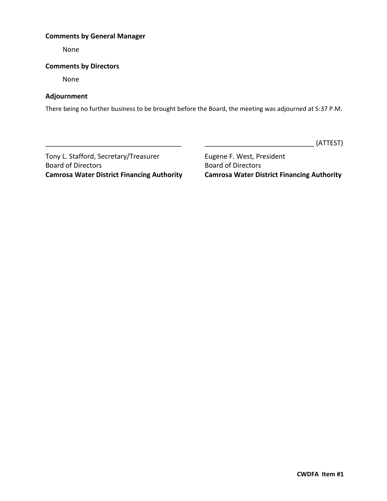#### **Comments by General Manager**

None

#### **Comments by Directors**

None

#### **Adjournment**

There being no further business to be brought before the Board, the meeting was adjourned at 5:37 P.M.

\_\_\_\_\_\_\_\_\_\_\_\_\_\_\_\_\_\_\_\_\_\_\_\_\_\_\_\_\_\_\_\_\_\_\_\_ \_\_\_\_\_\_\_\_\_\_\_\_\_\_\_\_\_\_\_\_\_\_\_\_\_\_\_\_\_ (ATTEST)

Tony L. Stafford, Secretary/Treasurer **Eugene F. West, President** Board of Directors **Board of Directors** 

**Camrosa Water District Financing Authority Camrosa Water District Financing Authority**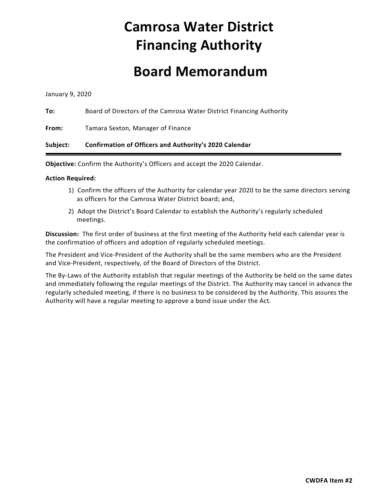# **Camrosa Water District Financing Authority**

### **Board Memorandum**

January 9, 2020

| To: | Board of Directors of the Camrosa Water District Financing Authority |
|-----|----------------------------------------------------------------------|
|     |                                                                      |

**From:** Tamara Sexton, Manager of Finance

#### **Subject: Confirmation of Officers and Authority's 2020 Calendar**

**Objective:** Confirm the Authority's Officers and accept the 2020 Calendar.

#### **Action Required:**

- 1) Confirm the officers of the Authority for calendar year 2020 to be the same directors serving as officers for the Camrosa Water District board; and,
- 2) Adopt the District's Board Calendar to establish the Authority's regularly scheduled meetings.

**Discussion:** The first order of business at the first meeting of the Authority held each calendar year is the confirmation of officers and adoption of regularly scheduled meetings.

The President and Vice‐President of the Authority shall be the same members who are the President and Vice‐President, respectively, of the Board of Directors of the District.

The By-Laws of the Authority establish that regular meetings of the Authority be held on the same dates and immediately following the regular meetings of the District. The Authority may cancel in advance the regularly scheduled meeting, if there is no business to be considered by the Authority. This assures the Authority will have a regular meeting to approve a bond issue under the Act.